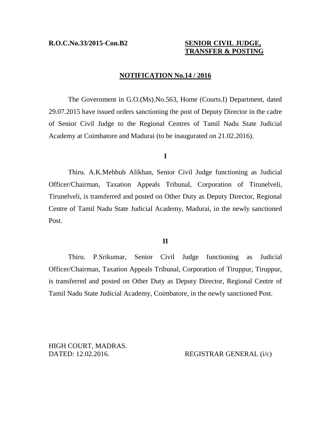#### **R.O.C.No.33/2015-Con.B2 SENIOR CIVIL JUDGE,**

# **TRANSFER & POSTING**

## **NOTIFICATION No.14 / 2016**

The Government in G.O.(Ms).No.563, Home (Courts.I) Department, dated 29.07.2015 have issued orders sanctioning the post of Deputy Director in the cadre of Senior Civil Judge to the Regional Centres of Tamil Nadu State Judicial Academy at Coimbatore and Madurai (to be inaugurated on 21.02.2016).

### **I**

Thiru. A.K.Mehbub Alikhan, Senior Civil Judge functioning as Judicial Officer/Chairman, Taxation Appeals Tribunal, Corporation of Tirunelveli, Tirunelveli, is transferred and posted on Other Duty as Deputy Director, Regional Centre of Tamil Nadu State Judicial Academy, Madurai, in the newly sanctioned Post.

#### **II**

Thiru. P.Srikumar, Senior Civil Judge functioning as Judicial Officer/Chairman, Taxation Appeals Tribunal, Corporation of Tiruppur, Tiruppur, is transferred and posted on Other Duty as Deputy Director, Regional Centre of Tamil Nadu State Judicial Academy, Coimbatore, in the newly sanctioned Post.

HIGH COURT, MADRAS. DATED: 12.02.2016. REGISTRAR GENERAL (i/c)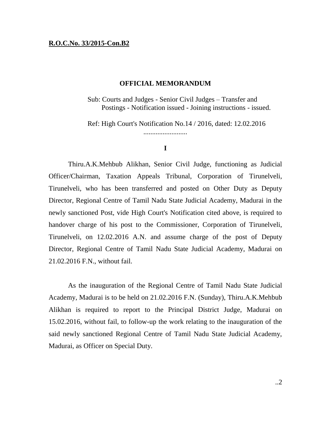#### **R.O.C.No. 33/2015-Con.B2**

#### **OFFICIAL MEMORANDUM**

Sub: Courts and Judges - Senior Civil Judges – Transfer and Postings - Notification issued - Joining instructions - issued.

Ref: High Court's Notification No.14 / 2016, dated: 12.02.2016

#### **I**

.........................

Thiru.A.K.Mehbub Alikhan, Senior Civil Judge, functioning as Judicial Officer/Chairman, Taxation Appeals Tribunal, Corporation of Tirunelveli, Tirunelveli, who has been transferred and posted on Other Duty as Deputy Director, Regional Centre of Tamil Nadu State Judicial Academy, Madurai in the newly sanctioned Post, vide High Court's Notification cited above, is required to handover charge of his post to the Commissioner, Corporation of Tirunelveli, Tirunelveli, on 12.02.2016 A.N. and assume charge of the post of Deputy Director, Regional Centre of Tamil Nadu State Judicial Academy, Madurai on 21.02.2016 F.N., without fail.

As the inauguration of the Regional Centre of Tamil Nadu State Judicial Academy, Madurai is to be held on 21.02.2016 F.N. (Sunday), Thiru.A.K.Mehbub Alikhan is required to report to the Principal District Judge, Madurai on 15.02.2016, without fail, to follow-up the work relating to the inauguration of the said newly sanctioned Regional Centre of Tamil Nadu State Judicial Academy, Madurai, as Officer on Special Duty.